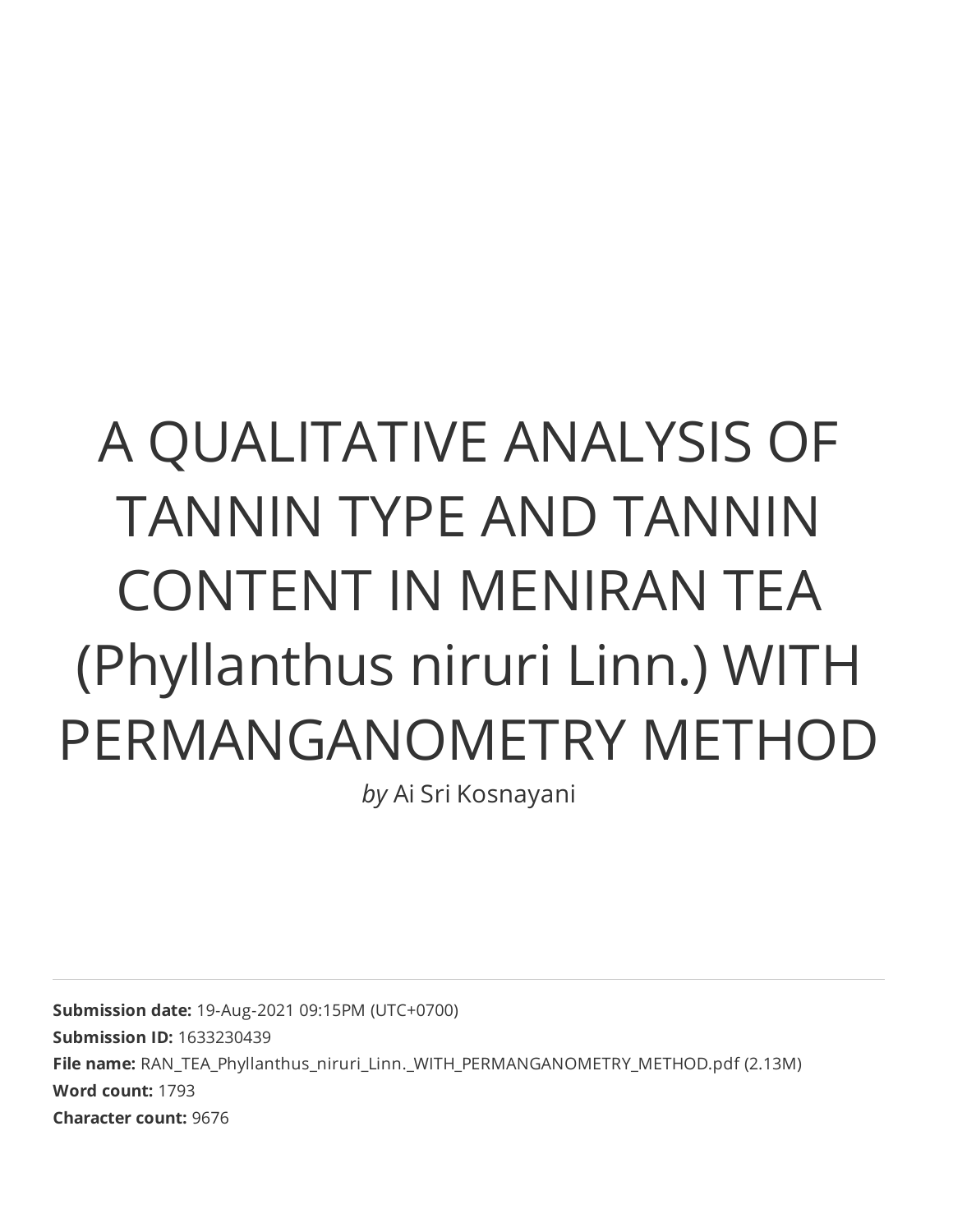# A QUALITATIVE ANALYSIS OF TANNIN TYPE AND TANNIN CONTENT IN MENIRAN TEA (Phyllanthus niruri Linn.) WITH PERMANGANOMETRY METHOD

*by* Ai Sri Kosnayani

**Submission date:** 19-Aug-2021 09:15PM (UTC+0700) **Submission ID:** 1633230439 **File name:** RAN\_TEA\_Phyllanthus\_niruri\_Linn.\_WITH\_PERMANGANOMETRY\_METHOD.pdf (2.13M) **Word count:** 1793 **Character count:** 9676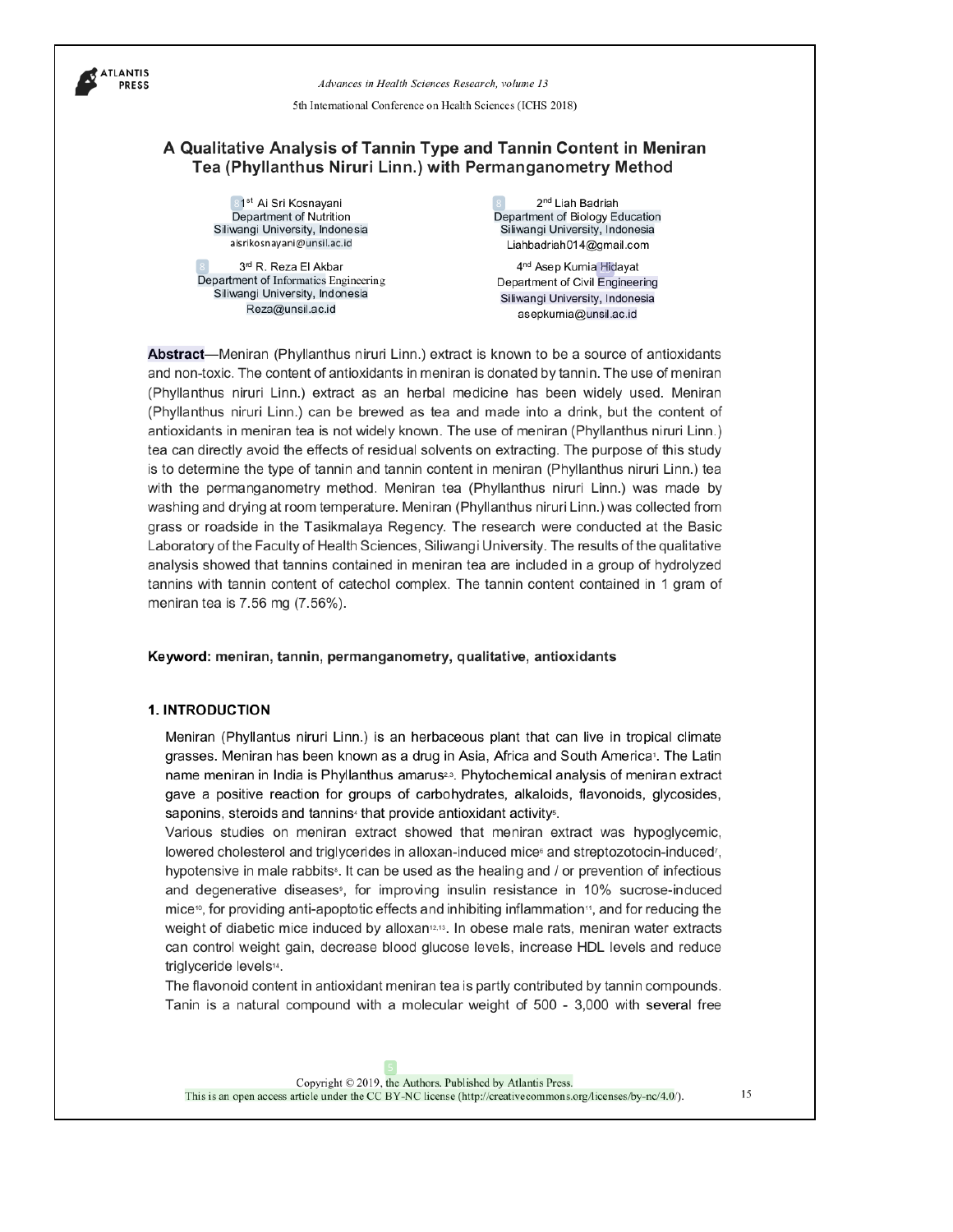

Advances in Health Sciences Research, volume 13 5th International Conference on Health Sciences (ICHS 2018)

#### A Qualitative Analysis of Tannin Type and Tannin Content in Meniran Tea (Phyllanthus Niruri Linn.) with Permanganometry Method

81<sup>st</sup> Ai Sri Kosnayani<br>Department of Nutrition Siliwangi University, Indonesia aisrikosnayani@unsil.ac.id

3rd R. Reza El Akbar 8 Siliwangi University, Indonesia Reza@unsil.ac.id

2<sup>nd</sup> Liah Badriah 8 Siliwangi University, Indonesia Liahbadriah014@gmail.com

4<sup>nd</sup> Asep Kurnia Hidayat<br>Department of Civil Engineering Siliwangi University, Indonesia asepkurnia@unsil.ac.id

Abstract-Meniran (Phyllanthus niruri Linn.) extract is known to be a source of antioxidants and non-toxic. The content of antioxidants in meniran is donated by tannin. The use of meniran (Phyllanthus niruri Linn.) extract as an herbal medicine has been widely used. Meniran (Phyllanthus niruri Linn.) can be brewed as tea and made into a drink, but the content of antioxidants in meniran tea is not widely known. The use of meniran (Phyllanthus niruri Linn.) tea can directly avoid the effects of residual solvents on extracting. The purpose of this study is to determine the type of tannin and tannin content in meniran (Phyllanthus niruri Linn.) tea with the permanganometry method. Meniran tea (Phyllanthus niruri Linn.) was made by washing and drying at room temperature. Meniran (Phyllanthus niruri Linn.) was collected from grass or roadside in the Tasikmalaya Regency. The research were conducted at the Basic Laboratory of the Faculty of Health Sciences, Siliwangi University. The results of the qualitative analysis showed that tannins contained in meniran tea are included in a group of hydrolyzed tannins with tannin content of catechol complex. The tannin content contained in 1 gram of meniran tea is 7.56 mg (7.56%).

#### Keyword: meniran, tannin, permanganometry, qualitative, antioxidants

#### 1. INTRODUCTION

Meniran (Phyllantus niruri Linn.) is an herbaceous plant that can live in tropical climate grasses. Meniran has been known as a drug in Asia, Africa and South America<sup>1</sup>. The Latin name meniran in India is Phyllanthus amarus<sup>2,3</sup>. Phytochemical analysis of meniran extract gave a positive reaction for groups of carbohydrates, alkaloids, flavonoids, glycosides, saponins, steroids and tannins<sup>4</sup> that provide antioxidant activity<sup>5</sup>.

Various studies on meniran extract showed that meniran extract was hypoglycemic, lowered cholesterol and triglycerides in alloxan-induced mice<sup>®</sup> and streptozotocin-induced<sup>7</sup>, hypotensive in male rabbits<sup>8</sup>. It can be used as the healing and / or prevention of infectious and degenerative diseases<sup>9</sup>, for improving insulin resistance in 10% sucrose-induced mice<sup>10</sup>, for providing anti-apoptotic effects and inhibiting inflammation<sup>11</sup>, and for reducing the weight of diabetic mice induced by alloxan<sup>12,13</sup>. In obese male rats, meniran water extracts can control weight gain, decrease blood glucose levels, increase HDL levels and reduce triglyceride levels<sup>14</sup>.

The flavonoid content in antioxidant meniran tea is partly contributed by tannin compounds. Tanin is a natural compound with a molecular weight of 500 - 3,000 with several free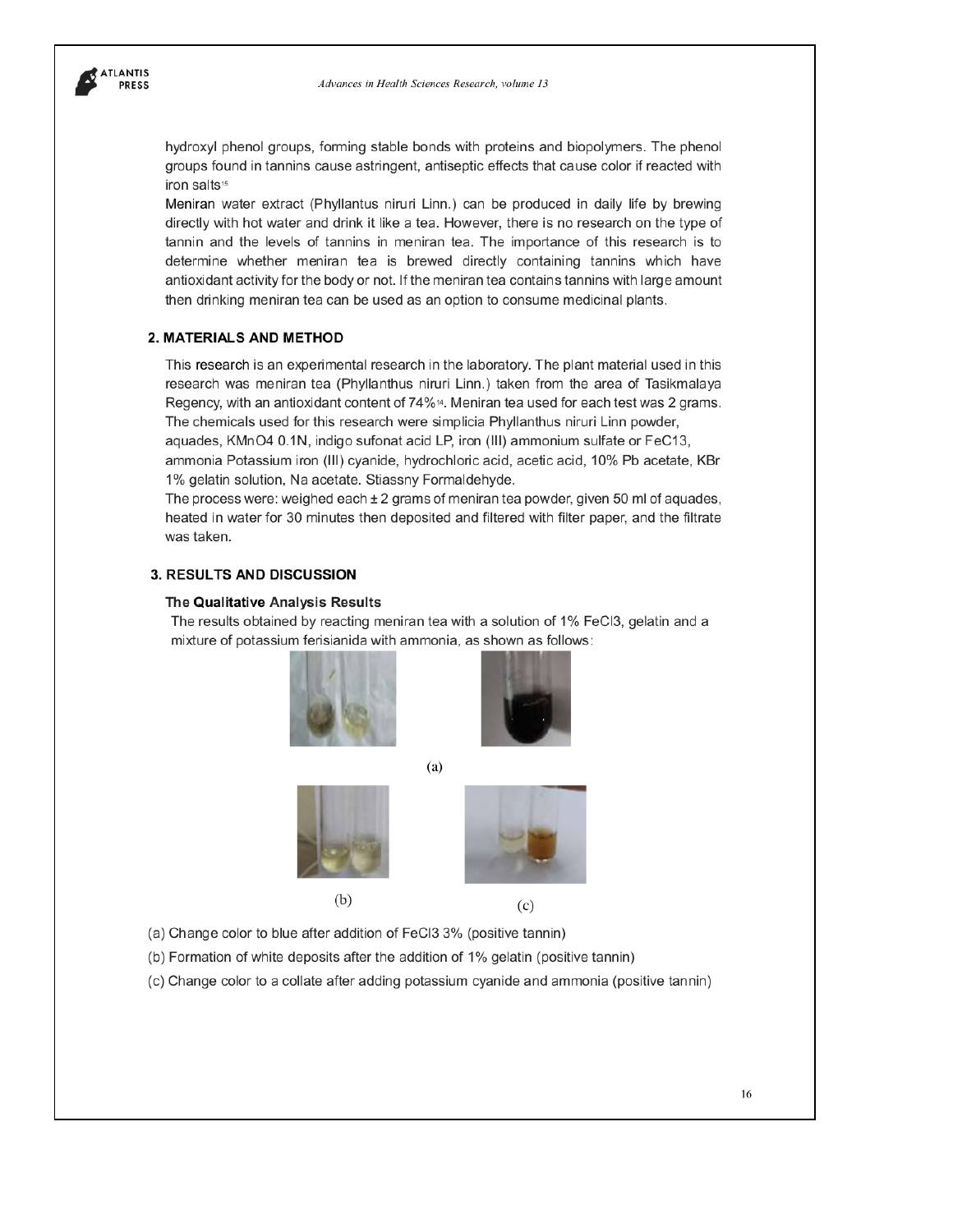

hydroxyl phenol groups, forming stable bonds with proteins and biopolymers. The phenol groups found in tannins cause astringent, antiseptic effects that cause color if reacted with iron salts<sup>15</sup>

Meniran water extract (Phyllantus niruri Linn.) can be produced in daily life by brewing directly with hot water and drink it like a tea. However, there is no research on the type of tannin and the levels of tannins in meniran tea. The importance of this research is to determine whether meniran tea is brewed directly containing tannins which have antioxidant activity for the body or not. If the meniran tea contains tannins with large amount then drinking meniran tea can be used as an option to consume medicinal plants.

#### **2. MATERIALS AND METHOD**

This research is an experimental research in the laboratory. The plant material used in this research was meniran tea (Phyllanthus niruri Linn.) taken from the area of Tasikmalaya Regency, with an antioxidant content of 74%<sup>14</sup>. Meniran tea used for each test was 2 grams. The chemicals used for this research were simplicia Phyllanthus niruri Linn powder, aquades, KMnO4 0.1N, indigo sufonat acid LP, iron (III) ammonium sulfate or FeC13, ammonia Potassium iron (III) cyanide, hydrochloric acid, acetic acid, 10% Pb acetate, KBr 1% gelatin solution, Na acetate. Stiassny Formaldehyde.

The process were: weighed each  $\pm 2$  grams of meniran tea powder, given 50 ml of aquades, heated in water for 30 minutes then deposited and filtered with filter paper, and the filtrate was taken.

#### 3. RESULTS AND DISCUSSION

#### The Qualitative Analysis Results

The results obtained by reacting meniran tea with a solution of 1% FeCl3, gelatin and a mixture of potassium ferisianida with ammonia, as shown as follows:





 $(a)$ 



 $(b)$ 



 $(c)$ 

(a) Change color to blue after addition of FeCl3 3% (positive tannin)

(b) Formation of white deposits after the addition of 1% gelatin (positive tannin)

(c) Change color to a collate after adding potassium cyanide and ammonia (positive tannin)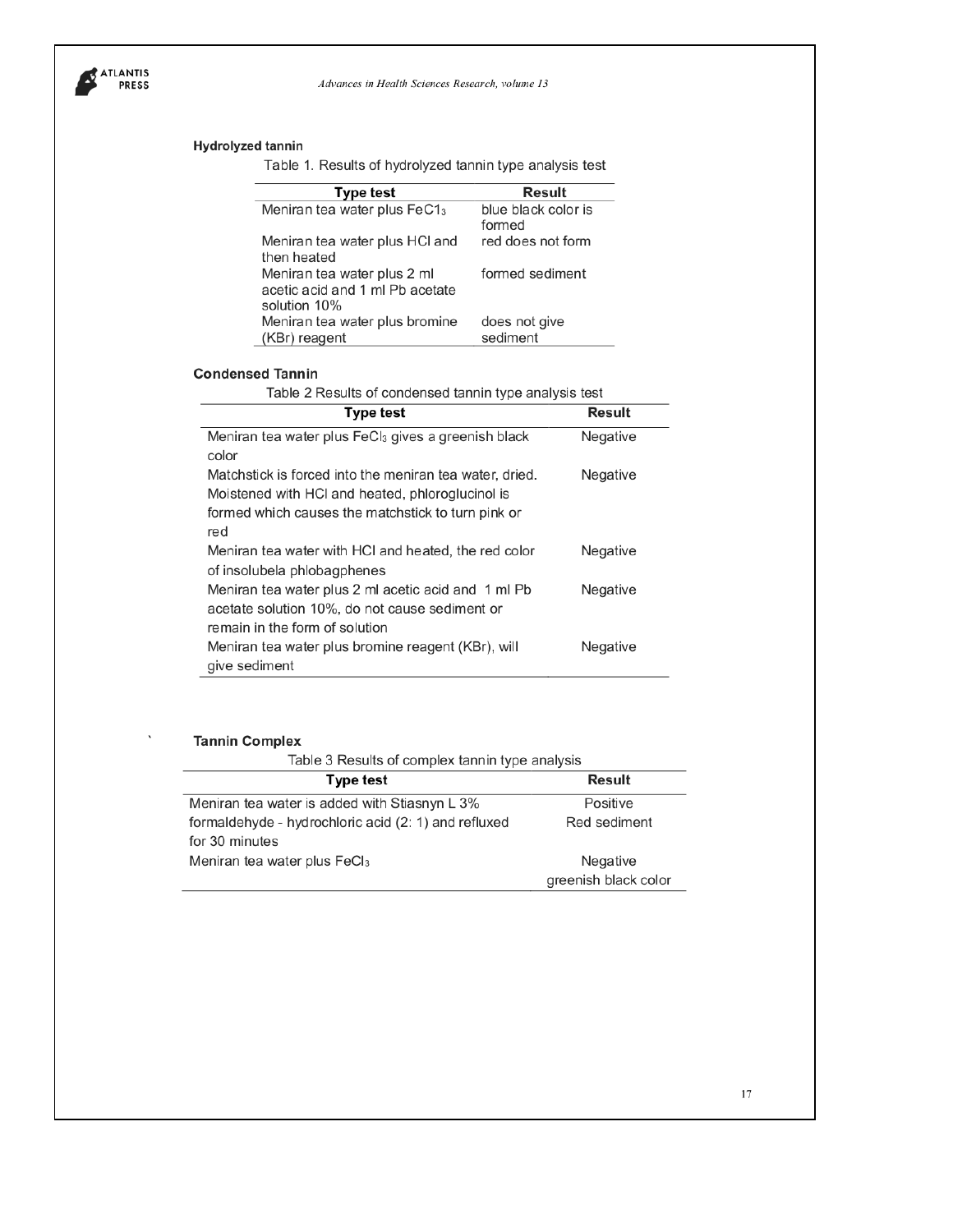

### **Hydrolyzed tannin**

Table 1. Results of hydrolyzed tannin type analysis test

| <b>Type test</b>                                                               | Result                        |
|--------------------------------------------------------------------------------|-------------------------------|
| Meniran tea water plus FeC13                                                   | blue black color is<br>formed |
| Meniran tea water plus HCI and<br>then heated                                  | red does not form             |
| Meniran tea water plus 2 ml<br>acetic acid and 1 ml Pb acetate<br>solution 10% | formed sediment               |
| Meniran tea water plus bromine<br>(KBr) reagent                                | does not give<br>sediment     |

#### **Condensed Tannin**

Table 2 Results of condensed tannin type analysis test

| <b>Type test</b>                                        | <b>Result</b>   |
|---------------------------------------------------------|-----------------|
| Meniran tea water plus FeCl3 gives a greenish black     | Negative        |
| color                                                   |                 |
| Matchstick is forced into the meniran tea water, dried. | Negative        |
| Moistened with HCI and heated, phloroglucinol is        |                 |
| formed which causes the matchstick to turn pink or      |                 |
| red                                                     |                 |
| Meniran tea water with HCI and heated, the red color    | Negative        |
| of insolubela phlobagphenes                             |                 |
| Meniran tea water plus 2 ml acetic acid and 1 ml Pb     | Negative        |
| acetate solution 10%, do not cause sediment or          |                 |
| remain in the form of solution                          |                 |
| Meniran tea water plus bromine reagent (KBr), will      | <b>Negative</b> |
| give sediment                                           |                 |

### **Tannin Complex**

Table 3 Results of complex tannin type analysis

| Type test                                            | Result               |
|------------------------------------------------------|----------------------|
| Meniran tea water is added with Stiasnyn L 3%        | Positive             |
| formaldehyde - hydrochloric acid (2: 1) and refluxed | Red sediment         |
| for 30 minutes                                       |                      |
| Meniran tea water plus FeCl <sub>3</sub>             | Negative             |
|                                                      | greenish black color |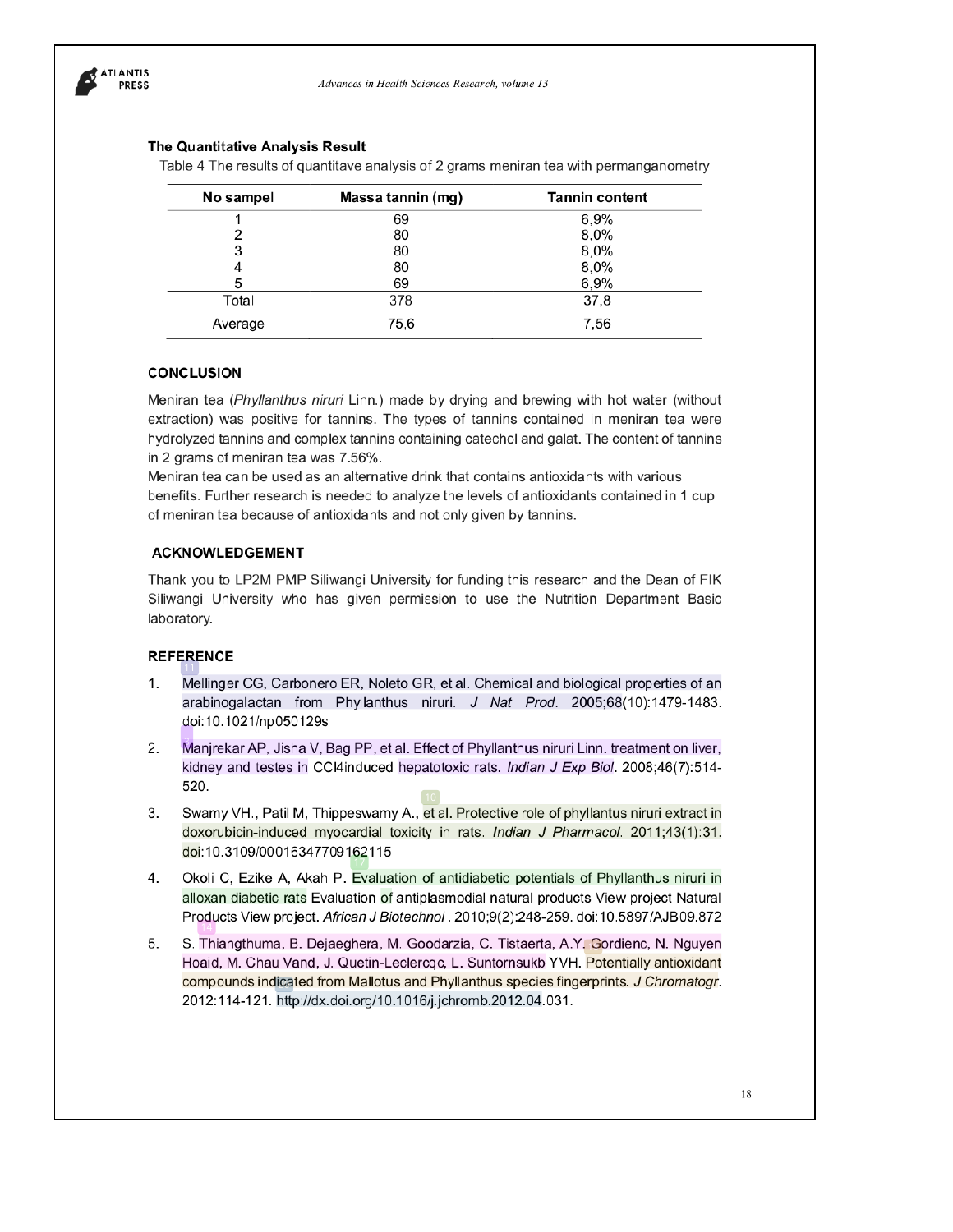

#### The Quantitative Analysis Result

Table 4 The results of quantitave analysis of 2 grams meniran tea with permanganometry

| No sampel | Massa tannin (mg) | <b>Tannin content</b> |
|-----------|-------------------|-----------------------|
|           | 69                | 6,9%                  |
| っ         | 80                | 8,0%                  |
| 3         | 80                | 8,0%                  |
| 4         | 80                | 8,0%                  |
| 5         | 69                | 6,9%                  |
| Total     | 378               | 37.8                  |
| Average   | 75.6              | 7,56                  |

#### **CONCLUSION**

Meniran tea (Phyllanthus niruri Linn.) made by drying and brewing with hot water (without extraction) was positive for tannins. The types of tannins contained in meniran tea were hydrolyzed tannins and complex tannins containing catechol and galat. The content of tannins in 2 grams of meniran tea was 7.56%.

Meniran tea can be used as an alternative drink that contains antioxidants with various benefits. Further research is needed to analyze the levels of antioxidants contained in 1 cup of meniran tea because of antioxidants and not only given by tannins.

#### **ACKNOWLEDGEMENT**

Thank you to LP2M PMP Siliwangi University for funding this research and the Dean of FIK Siliwangi University who has given permission to use the Nutrition Department Basic laboratory.

#### **REFERENCE** 11

- Mellinger CG, Carbonero ER, Noleto GR, et al. Chemical and biological properties of an  $\mathbf{1}$ arabinogalactan from Phyllanthus niruri. J Nat Prod. 2005;68(10):1479-1483. doi:10.1021/np050129s
- $2.$ Manjrekar AP, Jisha V, Bag PP, et al. Effect of Phyllanthus niruri Linn. treatment on liver, kidney and testes in CCl4induced hepatotoxic rats. Indian J Exp Biol. 2008;46(7):514-520.
- 10 Swamy VH., Patil M, Thippeswamy A., et al. Protective role of phyllantus niruri extract in 3. doxorubicin-induced myocardial toxicity in rats. Indian J Pharmacol. 2011;43(1):31. doi:10.3109/00016347709162115 17
- 4. Okoli C, Ezike A, Akah P. Evaluation of antidiabetic potentials of Phyllanthus niruri in alloxan diabetic rats Evaluation of antiplasmodial natural products View project Natural Products View project. African J Biotechnol . 2010;9(2):248-259. doi:10.5897/AJB09.872 14
- 5. S. Thiangthuma, B. Dejaeghera, M. Goodarzia, C. Tistaerta, A.Y. Gordienc, N. Nguyen Hoaid, M. Chau Vand, J. Quetin-Leclercqc, L. Suntornsukb YVH. Potentially antioxidant compounds indicated from Mallotus and Phyllanthus species fingerprints. J Chromatogr. 2012:114-121. http://dx.doi.org/10.1016/j.jchromb.2012.04.031.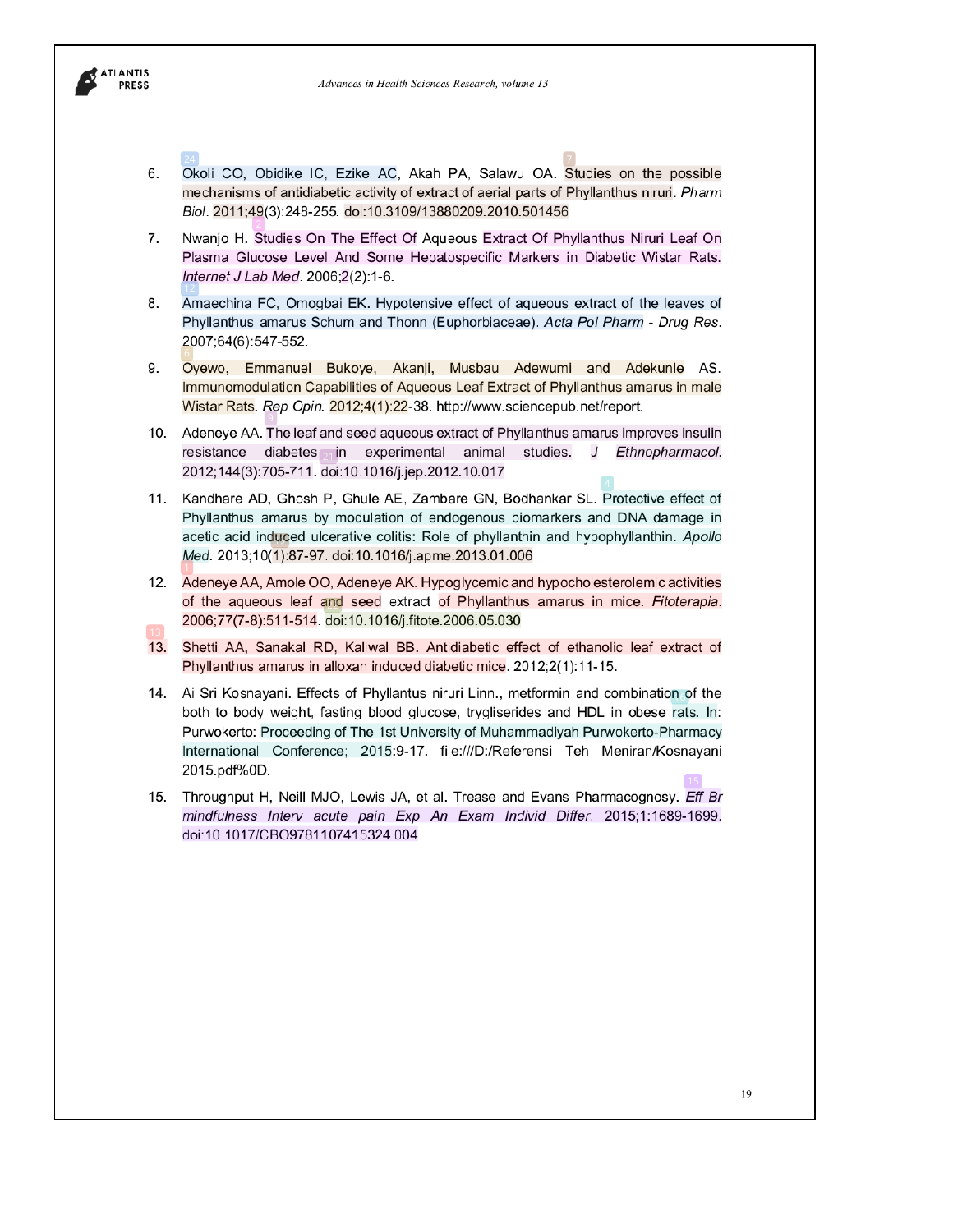

1

13

6

12

2

9

- 7 246. mechanisms of antidiabetic activity of extract of aerial parts of Phyllanthus niruri. Pharm Biol. 2011;49(3):248-255. doi:10.3109/13880209.2010.501456
- $7.$ Nwanjo H. Studies On The Effect Of Aqueous Extract Of Phyllanthus Niruri Leaf On Plasma Glucose Level And Some Hepatospecific Markers in Diabetic Wistar Rats. Internet J Lab Med. 2006;2(2):1-6.
- 8. Amaechina FC, Omogbai EK. Hypotensive effect of aqueous extract of the leaves of Phyllanthus amarus Schum and Thonn (Euphorbiaceae). Acta Pol Pharm - Drug Res. 2007;64(6):547-552.
- 9. Oyewo, Emmanuel Bukoye, Akanji, Musbau Adewumi and Adekunle AS. Immunomodulation Capabilities of Aqueous Leaf Extract of Phyllanthus amarus in male Wistar Rats. Rep Opin. 2012;4(1):22-38. http://www.sciencepub.net/report.
- 10. Adeneye AA. The leaf and seed aqueous extract of Phyllanthus amarus improves insulin resistance diabetes in experimental animal studies.  $\overline{J}$ Ethnopharmacol. 2012;144(3):705-711. doi:10.1016/j.jep.2012.10.017

4

- Phyllanthus amarus by modulation of endogenous biomarkers and DNA damage in acetic acid induced ulcerative colitis: Role of phyllanthin and hypophyllanthin. Apollo Med. 2013;10(1):87-97. doi:10.1016/j.apme.2013.01.006
- 12. Adeneye AA, Amole OO, Adeneye AK. Hypoglycemic and hypocholesterolemic activities of the aqueous leaf and seed extract of Phyllanthus amarus in mice. Fitoterapia. 2006;77(7-8):511-514. doi:10.1016/j.fitote.2006.05.030
- $13.$ Shetti AA, Sanakal RD, Kaliwal BB. Antidiabetic effect of ethanolic leaf extract of Phyllanthus amarus in alloxan induced diabetic mice. 2012;2(1):11-15.
- 14. Ai Sri Kosnayani. Effects of Phyllantus niruri Linn., metformin and combination of the both to body weight, fasting blood glucose, trygliserides and HDL in obese rats. In: Purwokerto: Proceeding of The 1st University of Muhammadiyah Purwokerto-Pharmacy International Conference; 2015:9-17. file:///D:/Referensi Teh Meniran/Kosnayani 2015.pdf%0D.
- 15. Throughput H, Neill MJO, Lewis JA, et al. Trease and Evans Pharmacognosy. Eff Br mindfulness Interv acute pain Exp An Exam Individ Differ. 2015;1:1689-1699. doi:10.1017/CBO9781107415324.004

15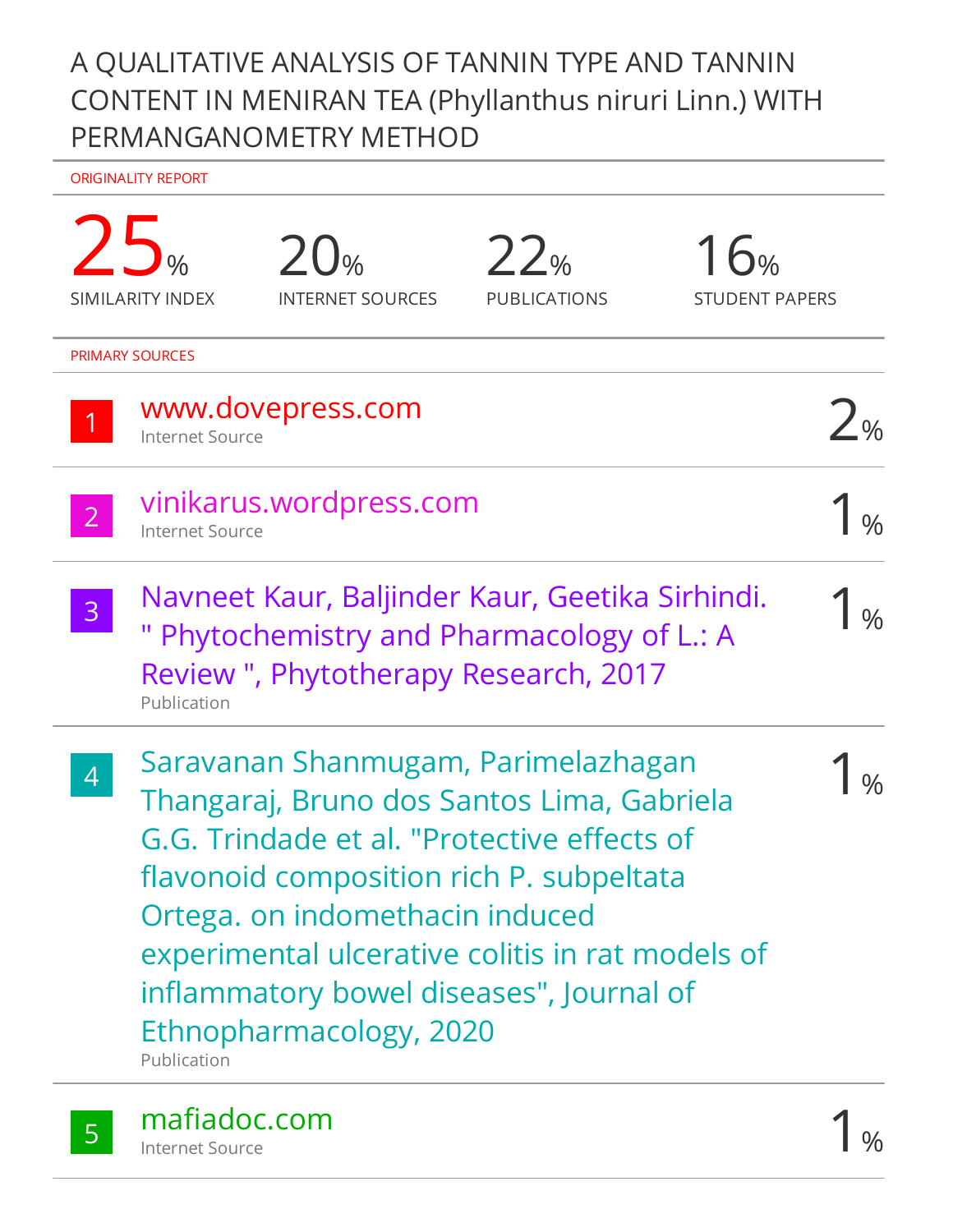## A QUALITATIVE ANALYSIS OF TANNIN TYPE AND TANNIN CONTENT IN MENIRAN TEA (Phyllanthus niruri Linn.) WITH PERMANGANOMETRY METHOD

ORIGINALITY REPORT

|                | <b>SIMILARITY INDEX</b> | 20%<br><b>INTERNET SOURCES</b>                                                                                                                                                                                                                                                                                                             | 22%<br><b>PUBLICATIONS</b> | 16%<br><b>STUDENT PAPERS</b> |                 |
|----------------|-------------------------|--------------------------------------------------------------------------------------------------------------------------------------------------------------------------------------------------------------------------------------------------------------------------------------------------------------------------------------------|----------------------------|------------------------------|-----------------|
|                | <b>PRIMARY SOURCES</b>  |                                                                                                                                                                                                                                                                                                                                            |                            |                              |                 |
|                | <b>Internet Source</b>  | www.dovepress.com                                                                                                                                                                                                                                                                                                                          |                            |                              | $\sum_{\alpha}$ |
| $\overline{2}$ | <b>Internet Source</b>  | vinikarus.wordpress.com                                                                                                                                                                                                                                                                                                                    |                            |                              |                 |
| $\overline{3}$ | Publication             | Navneet Kaur, Baljinder Kaur, Geetika Sirhindi.<br>" Phytochemistry and Pharmacology of L.: A<br>Review ", Phytotherapy Research, 2017                                                                                                                                                                                                     |                            |                              | $\frac{1}{2}$   |
| $\overline{4}$ | Publication             | Saravanan Shanmugam, Parimelazhagan<br>Thangaraj, Bruno dos Santos Lima, Gabriela<br>G.G. Trindade et al. "Protective effects of<br>flavonoid composition rich P. subpeltata<br>Ortega. on indomethacin induced<br>experimental ulcerative colitis in rat models of<br>inflammatory bowel diseases", Journal of<br>Ethnopharmacology, 2020 |                            |                              |                 |
|                | finder com              |                                                                                                                                                                                                                                                                                                                                            |                            |                              |                 |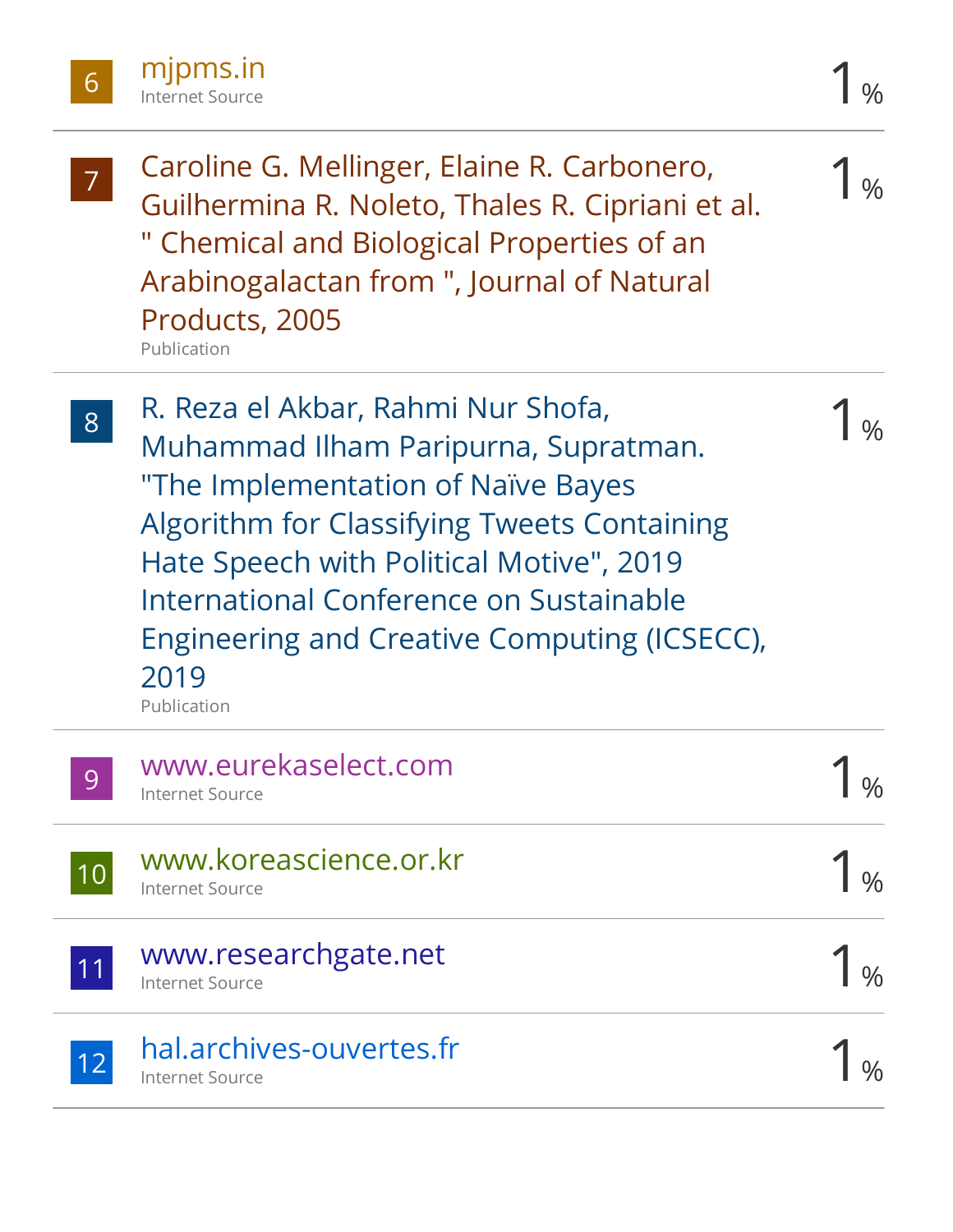| 6  | mjpms.in<br><b>Internet Source</b>                                                                                                                                                                                                                                                                                            |  |
|----|-------------------------------------------------------------------------------------------------------------------------------------------------------------------------------------------------------------------------------------------------------------------------------------------------------------------------------|--|
|    | Caroline G. Mellinger, Elaine R. Carbonero,<br>Guilhermina R. Noleto, Thales R. Cipriani et al.<br>" Chemical and Biological Properties of an<br>Arabinogalactan from ", Journal of Natural<br>Products, 2005<br>Publication                                                                                                  |  |
| 8  | R. Reza el Akbar, Rahmi Nur Shofa,<br>Muhammad Ilham Paripurna, Supratman.<br>"The Implementation of Naïve Bayes<br>Algorithm for Classifying Tweets Containing<br>Hate Speech with Political Motive", 2019<br>International Conference on Sustainable<br>Engineering and Creative Computing (ICSECC),<br>2019<br>Publication |  |
| 9  | www.eurekaselect.com<br><b>Internet Source</b>                                                                                                                                                                                                                                                                                |  |
| 10 | www.koreascience.or.kr<br><b>Internet Source</b>                                                                                                                                                                                                                                                                              |  |
|    | www.researchgate.net<br><b>Internet Source</b>                                                                                                                                                                                                                                                                                |  |
|    | hal.archives-ouvertes.fr<br><b>Internet Source</b>                                                                                                                                                                                                                                                                            |  |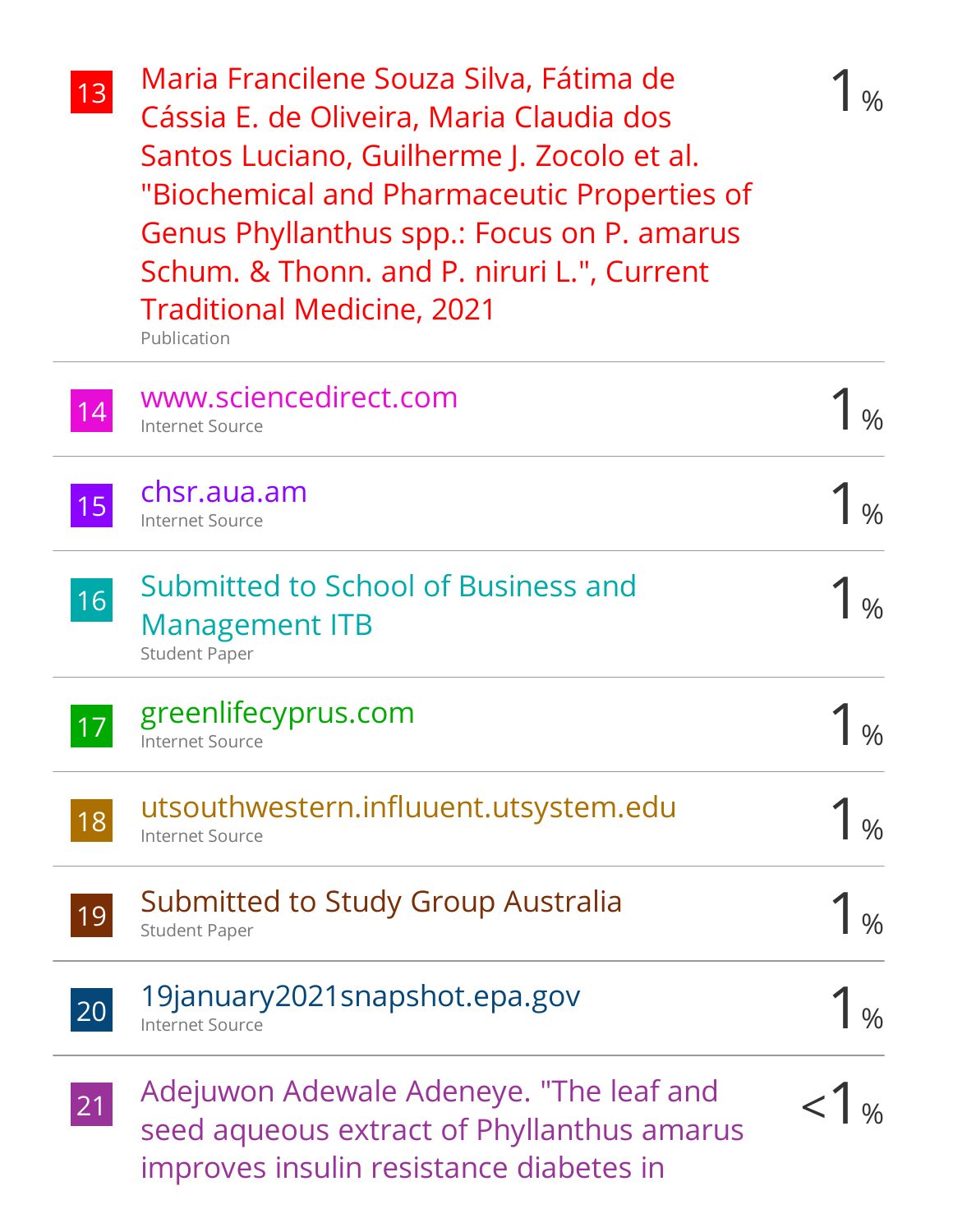| 13 | Maria Francilene Souza Silva, Fátima de<br>Cássia E. de Oliveira, Maria Claudia dos<br>Santos Luciano, Guilherme J. Zocolo et al.<br>"Biochemical and Pharmaceutic Properties of<br>Genus Phyllanthus spp.: Focus on P. amarus<br>Schum. & Thonn. and P. niruri L.", Current<br><b>Traditional Medicine, 2021</b><br>Publication |  |
|----|----------------------------------------------------------------------------------------------------------------------------------------------------------------------------------------------------------------------------------------------------------------------------------------------------------------------------------|--|
| 14 | www.sciencedirect.com<br>Internet Source                                                                                                                                                                                                                                                                                         |  |
| 15 | chsr.aua.am<br><b>Internet Source</b>                                                                                                                                                                                                                                                                                            |  |
| 16 | Submitted to School of Business and<br><b>Management ITB</b><br><b>Student Paper</b>                                                                                                                                                                                                                                             |  |
| 17 | greenlifecyprus.com<br><b>Internet Source</b>                                                                                                                                                                                                                                                                                    |  |
| 18 | utsouthwestern.influuent.utsystem.edu<br><b>Internet Source</b>                                                                                                                                                                                                                                                                  |  |
| 19 | Submitted to Study Group Australia<br><b>Student Paper</b>                                                                                                                                                                                                                                                                       |  |
| 20 | 19 january 2021 snapshot.epa.gov<br><b>Internet Source</b>                                                                                                                                                                                                                                                                       |  |
| 21 | Adejuwon Adewale Adeneye. "The leaf and<br>seed aqueous extract of Phyllanthus amarus<br>improves insulin resistance diabetes in                                                                                                                                                                                                 |  |